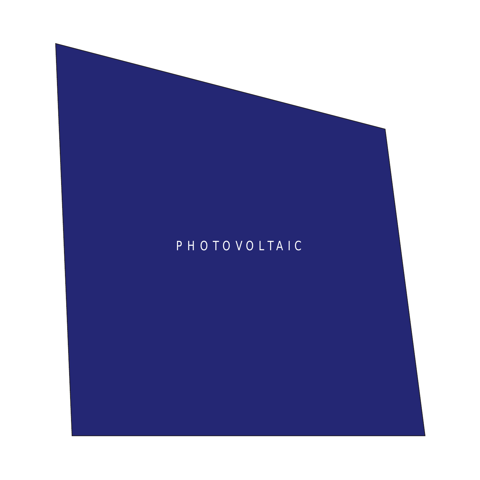# PHOTOVOLTA IC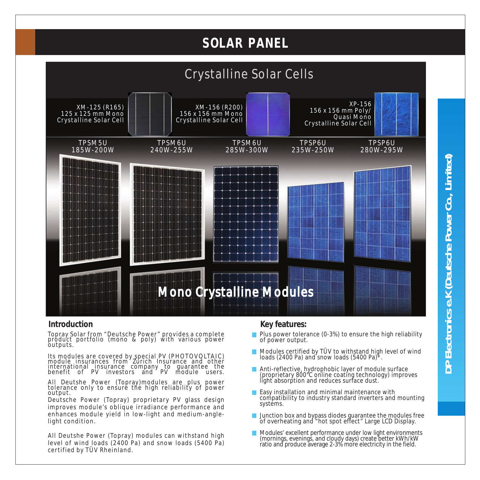# **SOLAR PANEL**



#### **Introduction**

Topray Solar from "Deutsche Power" provides a complete product portfolio (mono & poly) with various power outputs.

Its modules are covered by special PV (PHOTOVOLTAIC ) module insurances from Zurich Insurance and other international insurance company to guarantee the benefit of PV investors and PV module users.

All Deutshe Power (Topray)modules are plus power tolerance only to ensure the high reliability of power output.

Deutsche Power (Topray) proprietary PV glass design improves module's oblique irradiance performance and enhances module yield in low-light and medium-anglelight condition.

All Deutshe Power (Topray) modules can withstand high level of wind loads (2400 Pa) and snow loads (5400 Pa) certified by TÜV Rheinland.

#### **Key features:**

- Plus power tolerance (0-3%) to ensure the high reliability of power output.
- Modules certified by TÜV to withstand high level of wind loads (2400 Pa) and snow loads  $(5400 \text{ Pa})^8$ .
- Anti-reflective, hydrophobic layer of module surface (proprietary 800°C online coating technology) improves light absorption and reduces surface dust.
- Easy installation and minimal maintenance with compatibility to industry standard inverters and mounting systems.
- $\overline{\phantom{a}}$ Junction box and bypass diodes guarantee the modules free of overheating and "hot spot effect" Large LCD Display.
- Modules' excellent performance under low light environments (mornings, evenings, and cloudy days) create better kWh/kW ratio and produce average 2-3% more electricity in the field.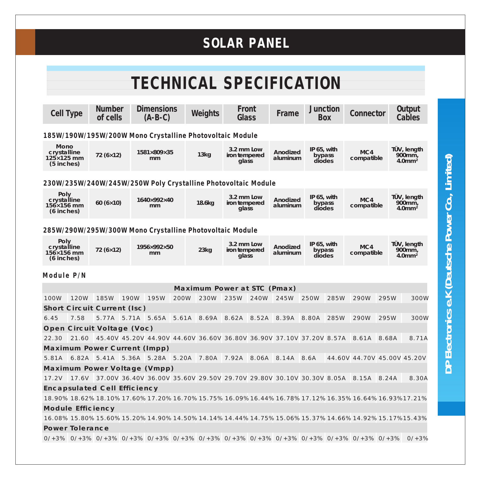# **SOLAR PANEL**

| <b>TECHNICAL SPECIFICATION</b>                                                                                                                                                                                                                                                         |      |                             |      |                                                                                                                                        |      |                             |                                      |      |                      |                                    |            |                             |      |                                                |
|----------------------------------------------------------------------------------------------------------------------------------------------------------------------------------------------------------------------------------------------------------------------------------------|------|-----------------------------|------|----------------------------------------------------------------------------------------------------------------------------------------|------|-----------------------------|--------------------------------------|------|----------------------|------------------------------------|------------|-----------------------------|------|------------------------------------------------|
|                                                                                                                                                                                                                                                                                        |      |                             |      |                                                                                                                                        |      |                             |                                      |      |                      |                                    |            |                             |      |                                                |
| <b>Cell Type</b>                                                                                                                                                                                                                                                                       |      | <b>Number</b><br>of cells   |      | <b>Dimensions</b><br>$(A-B-C)$                                                                                                         |      | Weights                     | Front<br>Glass                       |      | Frame                | <b>Junction</b>                    | <b>Box</b> | Connector                   |      | <b>Output</b><br>Cables                        |
| 185W/190W/195W/200W Mono Crystalline Photovoltaic Module                                                                                                                                                                                                                               |      |                             |      |                                                                                                                                        |      |                             |                                      |      |                      |                                    |            |                             |      |                                                |
| Mono<br>crystalline<br>$125 \times 125$ mm<br>$(5$ inches)                                                                                                                                                                                                                             |      | $72(6\times12)$             |      | $1581\times809\times35$<br>mm                                                                                                          |      | 13kg                        | 3.2 mm Low<br>iron tempered<br>glass |      | Anodized<br>aluminum | IP $65$ , with<br>bypass<br>diodes |            | MC4<br>compatible           |      | TÜV, length<br>900mm,<br>$4.0$ mm <sup>2</sup> |
|                                                                                                                                                                                                                                                                                        |      |                             |      | 230W/235W/240W/245W/250W Poly Crystalline Photovoltaic Module                                                                          |      |                             |                                      |      |                      |                                    |            |                             |      |                                                |
| Poly<br>crystalline<br>$156\times156$ mm<br>$(6$ inches)                                                                                                                                                                                                                               |      | 60 $(6\times10)$            |      | 1640×992×40<br>mm                                                                                                                      |      | $18.6$ kg                   | 3.2 mm Low<br>iron tempered<br>glass |      | Anodized<br>aluminum | IP $65$ , with<br>bypass<br>diodes |            | MC4<br>compatible           |      | TÜV, length<br>900mm,<br>$4.0$ mm <sup>2</sup> |
| 285W/290W/295W/300W Mono Crystalline Photovoltaic Module                                                                                                                                                                                                                               |      |                             |      |                                                                                                                                        |      |                             |                                      |      |                      |                                    |            |                             |      |                                                |
| Poly<br>crystalline<br>$156\times156$ mm<br>$(6$ inches)                                                                                                                                                                                                                               |      | $72(6\times12)$             |      | 1956×992×50<br>mm                                                                                                                      |      | 23kg                        | 3.2 mm Low<br>iron tempered<br>glass |      | Anodized<br>aluminum | IP 65, with<br>bypass<br>diodes    |            | MC4<br>compatible           |      | TÜV, length<br>900mm,<br>$4.0$ mm <sup>2</sup> |
| Module P/N                                                                                                                                                                                                                                                                             |      |                             |      |                                                                                                                                        |      |                             |                                      |      |                      |                                    |            |                             |      |                                                |
|                                                                                                                                                                                                                                                                                        |      |                             |      |                                                                                                                                        |      | Maximum Power at STC (Pmax) |                                      |      |                      |                                    |            |                             |      |                                                |
| 100W                                                                                                                                                                                                                                                                                   | 120W | 185W                        | 190W | 195W                                                                                                                                   | 200W | 230W                        | 235W                                 | 240W | 245W                 | 250W                               | 285W       | 290W                        | 295W | 300W                                           |
|                                                                                                                                                                                                                                                                                        |      | Short Circuit Current (Isc) |      |                                                                                                                                        |      |                             |                                      |      |                      |                                    |            |                             |      |                                                |
| 6.45                                                                                                                                                                                                                                                                                   | 7.58 |                             |      | 5.77A 5.71A 5.65A 5.61A 8.69A 8.62A 8.52A 8.39A 8.80A 285W                                                                             |      |                             |                                      |      |                      |                                    |            | 290W                        | 295W | 300W                                           |
|                                                                                                                                                                                                                                                                                        |      | Open Circuit Voltage (Voc)  |      |                                                                                                                                        |      |                             |                                      |      |                      |                                    |            |                             |      |                                                |
| 22.30                                                                                                                                                                                                                                                                                  |      |                             |      | 21.60 45.40V 45.20V 44.90V 44.60V 36.60V 36.80V 36.90V 37.10V 37.20V 8.57A 8.61A 8.68A                                                 |      |                             |                                      |      |                      |                                    |            |                             |      | 8.71A                                          |
|                                                                                                                                                                                                                                                                                        |      |                             |      | Maximum Power Current (Impp)                                                                                                           |      |                             |                                      |      |                      |                                    |            |                             |      |                                                |
|                                                                                                                                                                                                                                                                                        |      |                             |      | 5.81A 6.82A 5.41A 5.36A 5.28A 5.20A 7.80A 7.92A 8.06A 8.14A 8.6A                                                                       |      |                             |                                      |      |                      |                                    |            | 44.60V 44.70V 45.00V 45.20V |      |                                                |
|                                                                                                                                                                                                                                                                                        |      |                             |      | Maximum Power Voltage (Vmpp)                                                                                                           |      |                             |                                      |      |                      |                                    |            |                             |      |                                                |
|                                                                                                                                                                                                                                                                                        |      |                             |      | 17.2V 17.6V 37.00V 36.40V 36.00V 35.60V 29.50V 29.70V 29.80V 30.10V 30.30V 8.05A 8.15A 8.24A                                           |      |                             |                                      |      |                      |                                    |            |                             |      | 8.30A                                          |
| Encapsulated Cell Efficiency<br>$18.90\% \ 18.62\% \ 18.10\% \ 17.60\% \ 17.20\% \ 16.70\% \ 15.75\% \ 16.09\% \ 16.44\% \ 16.78\% \ 17.12\% \ 16.35\% \ 16.64\% \ 16.93\% \ 17.21\% \ 16.64\% \ 16.93\% \ 17.21\% \ 16.93\% \ 17.22\% \ 16.93\% \ 17.23\% \ 16.93\% \ 17.24\% \ 16.9$ |      |                             |      |                                                                                                                                        |      |                             |                                      |      |                      |                                    |            |                             |      |                                                |
|                                                                                                                                                                                                                                                                                        |      |                             |      |                                                                                                                                        |      |                             |                                      |      |                      |                                    |            |                             |      |                                                |
| Module Efficiency                                                                                                                                                                                                                                                                      |      |                             |      |                                                                                                                                        |      |                             |                                      |      |                      |                                    |            |                             |      |                                                |
| 16.08% 15.80% 15.60% 15.20% 14.90% 14.50% 14.14% 14.44% 14.75% 15.06% 15.37% 14.66% 14.92% 15.17% 15.43%                                                                                                                                                                               |      |                             |      |                                                                                                                                        |      |                             |                                      |      |                      |                                    |            |                             |      |                                                |
| Power Tolerance                                                                                                                                                                                                                                                                        |      |                             |      |                                                                                                                                        |      |                             |                                      |      |                      |                                    |            |                             |      |                                                |
|                                                                                                                                                                                                                                                                                        |      |                             |      | $0/+3\%$ $0/+3\%$ $0/+3\%$ $0/+3\%$ $0/+3\%$ $0/+3\%$ $0/+3\%$ $0/+3\%$ $0/+3\%$ $0/+3\%$ $0/+3\%$ $0/+3\%$ $0/+3\%$ $0/+3\%$ $0/+3\%$ |      |                             |                                      |      |                      |                                    |            |                             |      |                                                |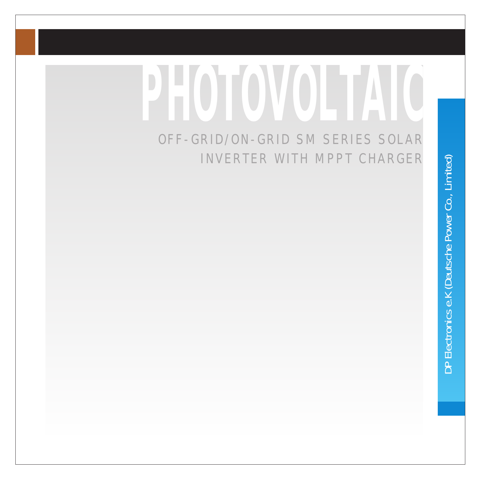# **PHOTOVOLTAIC**

# OFF-GRID/ON-GRID SM SERIES SOLAR INVERTER WITH MPPT CHARGER

DP Electronics e.K (Deutsche Power Co., Limited) **DP Electronics e.K (Deutsche Power Co., Limited)**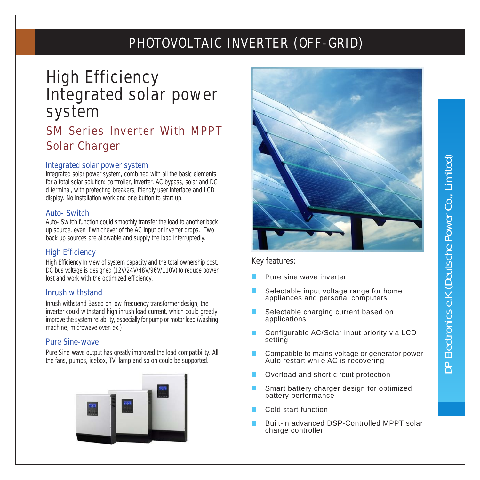# PHOTOVOLTAIC INVERTER (OFF-GRID)

# High Efficiency Integrated solar power system

# SM Series Inverter With MPPT Solar Charger

#### **Integrated solar power system**

Integrated solar power system, combined with all the basic elements for a total solar solution: controller, inverter, AC bypass, solar and DC d terminal, with protecting breakers, friendly user interface and LCD display. No installation work and one button to start up.

#### **Auto- Switch**

Auto- Switch function could smoothly transfer the load to another back up source, even if whichever of the AC input or inverter drops. Two back up sources are allowable and supply the load interruptedly.

#### **High Efficiency**

High Efficiency In view of system capacity and the total ownership cost, DC bus voltage is designed (12V/24V/48V/96V/110V) to reduce power lost and work with the optimized efficiency.

#### **Inrush withstand**

Inrush withstand Based on low-frequency transformer design, the inverter could withstand high inrush load current, which could greatly improve the system reliability, especially for pump or motor load (washing machine, microwave oven ex.)

#### **Pure Sine-wave**

Pure Sine-wave output has greatly improved the load compatibility. All the fans, pumps, icebox, TV, lamp and so on could be supported.





#### **Key features:**

- Pure sine wave inverter
- Selectable input voltage range for home appliances and personal computers
- Selectable charging current based on applications
- Configurable AC/Solar input priority via LCD setting
- Compatible to mains voltage or generator power Auto restart while AC is recovering
- Overload and short circuit protection
- Smart battery charger design for optimized battery performance
- Cold start function
- Built-in advanced DSP-Controlled MPPT solar charge controller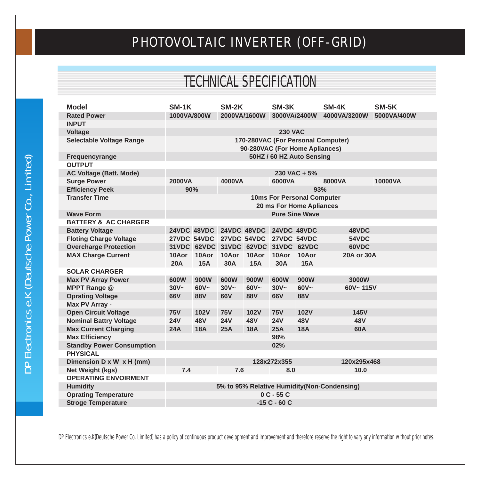# PHOTOVOLTAIC INVERTER (OFF-GRID)

# TECHNICAL SPECIFICATION

| <b>Model</b>                                        | $SM-1K$                                                        |                     | SM-2K               |                                     | $SM-3K$        |                            | SM-4K                              | SM-5K   |  |
|-----------------------------------------------------|----------------------------------------------------------------|---------------------|---------------------|-------------------------------------|----------------|----------------------------|------------------------------------|---------|--|
| <b>Rated Power</b>                                  | 1000VA/800W<br>2000VA/1600W                                    |                     |                     | 3000VA/2400W                        |                | 4000VA/3200W               | 5000VA/400W                        |         |  |
| <b>INPUT</b>                                        |                                                                |                     |                     |                                     |                |                            |                                    |         |  |
| <b>Voltage</b>                                      |                                                                |                     |                     |                                     | <b>230 VAC</b> |                            |                                    |         |  |
| <b>Selectable Voltage Range</b>                     |                                                                |                     |                     |                                     |                |                            | 170-280VAC (For Personal Computer) |         |  |
|                                                     | 90-280VAC (For Home Apliances)                                 |                     |                     |                                     |                |                            |                                    |         |  |
| Frequencyrange                                      | 50HZ / 60 HZ Auto Sensing                                      |                     |                     |                                     |                |                            |                                    |         |  |
| <b>OUTPUT</b>                                       |                                                                |                     |                     |                                     |                |                            |                                    |         |  |
| <b>AC Voltage (Batt. Mode)</b>                      |                                                                |                     |                     |                                     |                | 230 VAC + 5%               |                                    |         |  |
| <b>Surge Power</b>                                  | <b>2000VA</b>                                                  |                     | 4000VA              |                                     | 6000VA         |                            | 8000VA                             | 10000VA |  |
| <b>Efficiency Peek</b>                              | 90%                                                            |                     |                     |                                     |                | 93%                        |                                    |         |  |
| <b>Transfer Time</b>                                |                                                                |                     |                     |                                     |                | 10ms For Personal Computer |                                    |         |  |
|                                                     |                                                                |                     |                     |                                     |                | 20 ms For Home Apliances   |                                    |         |  |
| <b>Wave Form</b>                                    |                                                                |                     |                     |                                     |                | <b>Pure Sine Wave</b>      |                                    |         |  |
| <b>BATTERY &amp; AC CHARGER</b>                     |                                                                |                     |                     |                                     |                |                            |                                    |         |  |
| <b>Battery Voltage</b>                              |                                                                | <b>24VDC 48VDC</b>  |                     | 24VDC 48VDC 24VDC 48VDC             |                |                            | 48VDC                              |         |  |
| <b>Floting Charge Voltage</b>                       |                                                                | 27VDC 54VDC         |                     | 27VDC 54VDC 27VDC 54VDC             |                |                            | 54VDC                              |         |  |
| <b>Overcharge Protection</b>                        |                                                                |                     |                     | 31VDC 62VDC 31VDC 62VDC 31VDC 62VDC |                |                            | 60VDC                              |         |  |
| <b>MAX Charge Current</b>                           | 10Aor<br><b>20A</b>                                            | 10Aor<br><b>15A</b> | 10Aor<br><b>30A</b> | 10Aor<br><b>15A</b>                 | 10Aor<br>30A   | 10Aor<br><b>15A</b>        | 20A or 30A                         |         |  |
| <b>SOLAR CHARGER</b>                                |                                                                |                     |                     |                                     |                |                            |                                    |         |  |
| <b>Max PV Array Power</b>                           | 600W                                                           | 900W                | 600W                | 900W                                | 600W           | 900W                       | 3000W                              |         |  |
| <b>MPPT Range @</b>                                 | $30V -$                                                        | $60V -$             | $30V -$             | $60V -$                             | $30V -$        | $60V -$                    | $60V - 115V$                       |         |  |
| <b>Oprating Voltage</b>                             | 66V                                                            | <b>88V</b>          | 66V                 | <b>88V</b>                          | 66V            | <b>88V</b>                 |                                    |         |  |
|                                                     |                                                                |                     |                     |                                     |                |                            |                                    |         |  |
| Max PV Array -<br><b>Open Circuit Voltage</b>       | <b>75V</b>                                                     | <b>102V</b>         | <b>75V</b>          | <b>102V</b>                         | <b>75V</b>     | <b>102V</b>                | <b>145V</b>                        |         |  |
| <b>Nominal Battry Voltage</b>                       | <b>24V</b>                                                     | 48V                 | <b>24V</b>          | <b>48V</b>                          | <b>24V</b>     | <b>48V</b>                 | <b>48V</b>                         |         |  |
|                                                     | 24A                                                            |                     | 25A                 | <b>18A</b>                          | 25A            | <b>18A</b>                 | 60A                                |         |  |
| <b>Max Current Charging</b>                         |                                                                | <b>18A</b>          |                     |                                     |                |                            |                                    |         |  |
| <b>Max Efficiency</b>                               | 98%<br>02%                                                     |                     |                     |                                     |                |                            |                                    |         |  |
| <b>Standby Power Consumption</b><br><b>PHYSICAL</b> |                                                                |                     |                     |                                     |                |                            |                                    |         |  |
| Dimension D x W x H (mm)                            |                                                                |                     |                     |                                     | 128x272x355    |                            | 120x295x468                        |         |  |
| Net Weight (kgs)                                    | 7.4                                                            |                     | 7.6                 |                                     | 8.0            |                            | 10.0                               |         |  |
| <b>OPERATING ENVOIRMENT</b>                         |                                                                |                     |                     |                                     |                |                            |                                    |         |  |
|                                                     | 5% to 95% Relative Humidity(Non-Condensing)<br><b>Humidity</b> |                     |                     |                                     |                |                            |                                    |         |  |
| <b>Oprating Temperature</b>                         | $0C - 55C$                                                     |                     |                     |                                     |                |                            |                                    |         |  |
|                                                     |                                                                |                     |                     |                                     |                |                            |                                    |         |  |

DP Electronics e.K(Deutsche Power Co. Limited) has a policy of continuous product development and improvement and therefore reserve the right to vary any information without prior notes.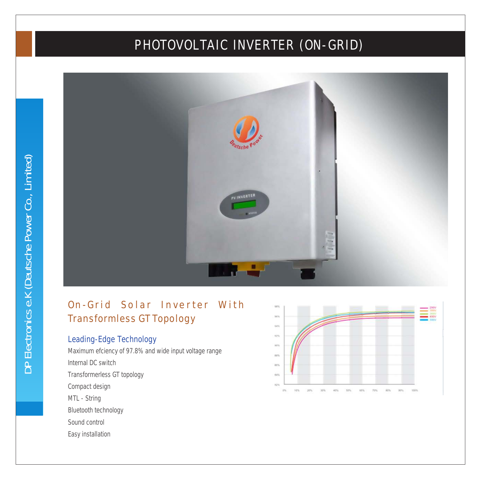# PHOTOVOLTAIC INVERTER (ON-GRID)



## On-Grid Solar Inverter With Transformless GT Topology

#### **Leading-Edge Technology**

Maximum efciency of 97.8% and wide input voltage range Internal DC switch Transformerless GT topology Compact design MTL - String Bluetooth technology Sound control Easy installation

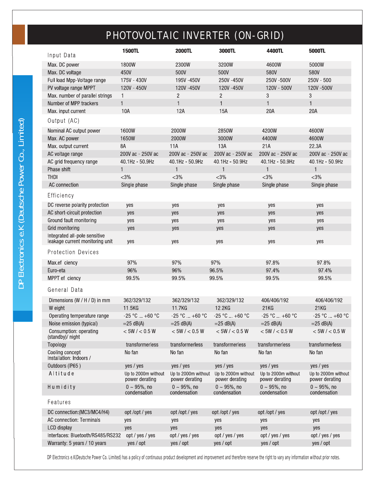# PHOTOVOLTAIC INVERTER (ON-GRID)

| Input Data                                                       | <b>1500TL</b>                         | <b>2000TL</b>                         | 3000TL                                | 4400TL                                | 5000TL                                |
|------------------------------------------------------------------|---------------------------------------|---------------------------------------|---------------------------------------|---------------------------------------|---------------------------------------|
| Max. DC power                                                    | 1800W                                 | 2300W                                 | 3200W                                 | 4600W                                 | 5000W                                 |
| Max. DC voltage                                                  | 450V                                  | 500V                                  | 500V                                  | 580V                                  | 580V                                  |
| Full load Mpp-Voltage range                                      | 175V - 430V                           | 195V-450V                             | 250V -450V                            | 250V -500V                            | $250V - 500$                          |
| PV voltage range MPPT                                            | 120V - 450V                           | 120V-450V                             | 120V -450V                            | 120V - 500V                           | 120V -500V                            |
| Max. number of parallel strings                                  | $\mathbf{1}$                          | $\mathbf{2}$                          | $\overline{c}$                        | 3                                     | 3                                     |
| Number of MPP trackers                                           | $\mathbf{1}$                          | $\mathbf{1}$                          | $\mathbf{1}$                          | $\mathbf{1}$                          | 1                                     |
| Max. input current                                               | 10A                                   | 12A                                   | 15A                                   | 20A                                   | 20A                                   |
| Output (AC)                                                      |                                       |                                       |                                       |                                       |                                       |
| Nominal AC output power                                          | 1600W                                 | 2000W                                 | 2850W                                 | 4200W                                 | 4600W                                 |
| Max. AC power                                                    | 1650W                                 | 2000W                                 | 3000W                                 | 4400W                                 | 4600W                                 |
| Max. output current                                              | 8A                                    | 11A                                   | 13A                                   | 21A                                   | 22.3A                                 |
| AC voltage range                                                 | 200V ac - 250V ac                     | 200V ac - 250V ac                     | 200V ac - 250V ac                     | 200V ac - 250V ac                     | 200V ac - 250V ac                     |
| AC grid frequency range                                          | 40.1Hz - 50.9Hz                       | 40.1Hz - 50.9Hz                       | 40.1Hz - 50.9Hz                       | 40.1Hz - 50.9Hz                       | 40.1Hz - 50.9Hz                       |
| Phase shift                                                      | $\mathbf{1}$                          | $\mathbf{1}$                          | 1                                     | $\mathbf{1}$                          | $\mathbf{1}$                          |
| <b>THDI</b>                                                      | $<$ 3%                                | $<$ 3%                                | $<$ 3%                                | $<$ 3%                                | $<$ 3%                                |
| AC connection                                                    | Single phase                          | Single phase                          | Single phase                          | Single phase                          | Single phase                          |
| Efficiency                                                       |                                       |                                       |                                       |                                       |                                       |
| DC reverse polarity protection                                   | yes                                   | yes                                   | yes                                   | yes                                   | yes                                   |
| AC short-circuit protection                                      | yes                                   | yes                                   | yes                                   | yes                                   | yes                                   |
| Ground fault monitoring                                          | yes                                   | yes                                   | yes                                   | yes                                   | yes                                   |
| Grid monitoring                                                  | yes                                   | yes                                   | yes                                   | yes                                   | yes                                   |
| Integrated all-pole sensitive<br>leakage current monitoring unit | yes                                   | yes                                   | yes                                   | yes                                   | yes                                   |
| <b>Protection Devices</b>                                        |                                       |                                       |                                       |                                       |                                       |
| Max.ef ciency                                                    | 97%                                   | 97%                                   | 97%                                   | 97.8%                                 | 97.8%                                 |
| Euro-eta                                                         | 96%                                   | 96%                                   | 96.5%                                 | 97.4%                                 | 97.4%                                 |
| MPPT ef ciency                                                   | 99.5%                                 | 99.5%                                 | 99.5%                                 | 99.5%                                 | 99.5%                                 |
| General Data                                                     |                                       |                                       |                                       |                                       |                                       |
| Dimensions (W / H / D) in mm                                     | 362/329/132                           | 362/329/132                           | 362/329/132                           | 406/406/192                           | 406/406/192                           |
| W eight                                                          | 11.5KG                                | 11.7KG                                | 12.2KG                                | 21KG                                  | 21KG                                  |
| Operating temperature range                                      | $-25 °C  +60 °C$                      | $-25 °C  +60 °C$                      | $-25 °C  +60 °C$                      | $-25 °C  +60 °C$                      | $-25 °C  +60 °C$                      |
| Noise emission (typical)                                         | $=25$ dB(A)                           | $=25$ dB(A)                           | $=25$ dB(A)                           | $=25$ dB(A)                           | $=25$ dB(A)                           |
| Consumption: operating<br>(standby)/ night                       | < 5W / < 0.5W                         | $<$ 5W / $<$ 0.5 W                    | $<$ 5W / $<$ 0.5 W                    | < 5W / < 0.5W                         | < 5W / < 0.5W                         |
| Topology                                                         | transformerless                       | transformerless                       | transformerless                       | transformerless                       | transformerless                       |
| Cooling concept<br>Installation: Indoors /                       | No fan                                | No fan                                | No fan                                | No fan                                | No fan                                |
| Outdoors (IP65)                                                  | yes / yes                             | yes / yes                             | yes / yes                             | yes / yes                             | yes / yes                             |
| Altitude                                                         | Up to 2000m without<br>power derating | Up to 2000m without<br>power derating | Up to 2000m without<br>power derating | Up to 2000m without<br>power derating | Up to 2000m without<br>power derating |
| Humidity                                                         | $0 \sim 95\%$ , no<br>condensation    | $0 \sim 95\%$ , no<br>condensation    | $0 \sim 95\%$ , no<br>condensation    | $0 \sim 95\%$ , no<br>condensation    | $0 \sim 95\%$ , no<br>condensation    |
| Features                                                         |                                       |                                       |                                       |                                       |                                       |
| DC connection: (MC3/MC4/H4)                                      | opt/opt/yes                           | opt/opt/yes                           | opt/opt/yes                           | opt/opt/yes                           | opt/opt/yes                           |
| <b>AC connection: Terminals</b>                                  | yes                                   | yes                                   | yes                                   | yes                                   | yes                                   |
| LCD display                                                      | yes                                   | yes                                   | yes                                   | yes                                   | yes                                   |
| Interfaces: Bluetooth/RS485/RS232                                | opt / yes / yes                       | opt / yes / yes                       | opt / yes / yes                       | opt / yes / yes                       | opt / yes / yes                       |
| Warranty: 5 years / 10 years                                     | yes / opt                             | yes / opt                             | yes / opt                             | yes / opt                             | yes / opt                             |

DP Electronics e.K(Deutsche Power Co. Limited) has a policy of continuous product development and improvement and therefore reserve the right to vary any information without prior notes.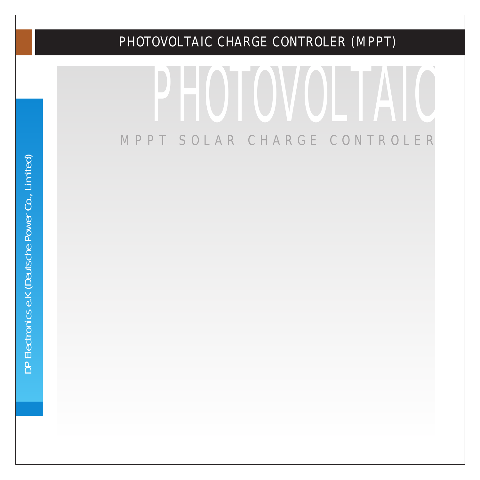# PHOTOVOLTAIC MPPT SOLAR CHARGE CONTROLER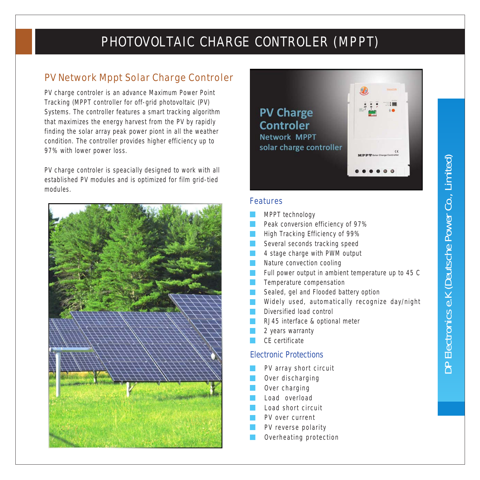#### PV Network Mppt Solar Charge Controler

PV charge controler is an advance Maximum Power Point Tracking (MPPT controller for off-grid photovoltaic (PV) Systems. The controller features a smart tracking algorithm that maximizes the energy harvest from the PV by rapidly finding the solar array peak power piont in all the weather condition. The controller provides higher efficiency up to 97% with lower power loss.

PV charge controler is speacially designed to work with all established PV modules and is optimized for film grid-tied modules.





#### **Features**

- MPPT technology
- Peak conversion efficiency of 97%
- High Tracking Efficiency of 99%
- Several seconds tracking speed
- 4 stage charge with PWM output
- Nature convection cooling
- Full power output in ambient temperature up to 45 C
- Temperature compensation
- Sealed, gel and Flooded battery option
- Widely used, automatically recognize day/night
- Diversified load control
- RJ45 interface & optional meter
- 2 years warranty
- CE certificate

#### **Electronic Protections**

- PV array short circuit
- Over discharging
- Over charging
- Load overload
- Load short circuit
- PV over current
- PV reverse polarity
- Overheating protection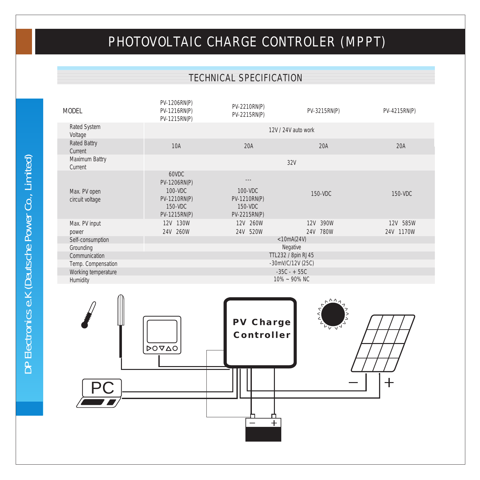#### **TECHNICAL SPECIFICATION**

| <b>MODEL</b>                     | $PV-1206RN(P)$<br>$PV-1216RN(P)$<br>$PV-1215RN(P)$                                    | $PV-2210RN(P)$<br>$PV-2215RN(P)$                           | $PV-3215RN(P)$       | $PV-4215RN(P)$        |  |  |  |  |
|----------------------------------|---------------------------------------------------------------------------------------|------------------------------------------------------------|----------------------|-----------------------|--|--|--|--|
| <b>Rated System</b><br>Voltage   | $12V/24V$ auto work                                                                   |                                                            |                      |                       |  |  |  |  |
| <b>Rated Battry</b><br>Current   | 10A                                                                                   | 20A                                                        | 20A                  |                       |  |  |  |  |
| <b>Maximum Battry</b><br>Current |                                                                                       |                                                            | 32V                  |                       |  |  |  |  |
| Max. PV open<br>circuit voltage  | 60VDC<br>$PV-1206RN(P)$<br>$100 - VDC$<br>$PV-1210RN(P)$<br>150-VDC<br>$PV-1215RN(P)$ | $100 - VDC$<br>$PV-1210RN(P)$<br>150-VDC<br>$PV-2215RN(P)$ | 150-VDC              | 150-VDC               |  |  |  |  |
| Max. PV input                    | 12V 130W<br>24V 260W                                                                  | 12V 260W<br>24V 520W                                       | 12V 390W<br>24V 780W | 12V 585W<br>24V 1170W |  |  |  |  |
| power<br>Self-consumption        |                                                                                       |                                                            | $<$ 10mA(24V)        |                       |  |  |  |  |
| Grounding                        | <b>Negative</b>                                                                       |                                                            |                      |                       |  |  |  |  |
| Communication                    | TTL232 / 8pin RJ45                                                                    |                                                            |                      |                       |  |  |  |  |
| Temp. Compensation               | $-30mV/C/12V(25C)$<br>$-35C - + 55C$                                                  |                                                            |                      |                       |  |  |  |  |
| Working temperature<br>Humidity  | $10\% \sim 90\% \text{ NC}$                                                           |                                                            |                      |                       |  |  |  |  |
|                                  |                                                                                       |                                                            |                      |                       |  |  |  |  |

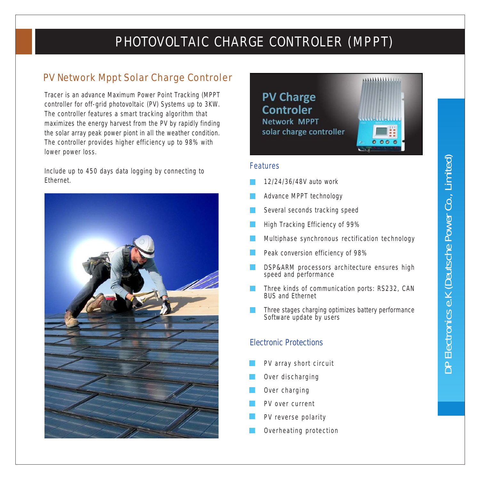#### PV Network Mppt Solar Charge Controler

Tracer is an advance Maximum Power Point Tracking (MPPT controller for off-grid photovoltaic (PV) Systems up to 3KW. The controller features a smart tracking algorithm that maximizes the energy harvest from the PV by rapidly finding the solar array peak power piont in all the weather condition. The controller provides higher efficiency up to 98% with lower power loss.

Include up to 450 days data logging by connecting to Ethernet.





#### Features

- 12/24/36/48V auto work
- Advance MPPT technology
- Several seconds tracking speed
- High Tracking Efficiency of 99%
- Multiphase synchronous rectification technology
- Peak conversion efficiency of 98%
- DSP&ARM processors architecture ensures high speed and performance
- Three kinds of communication ports: RS232, CAN BUS and Ethernet
- Three stages charging optimizes battery performance Software update by users

#### **Electronic Protections**

- PV array short circuit
- Over discharging
- Over charging
- PV over current
- PV reverse polarity
- Overheating protection